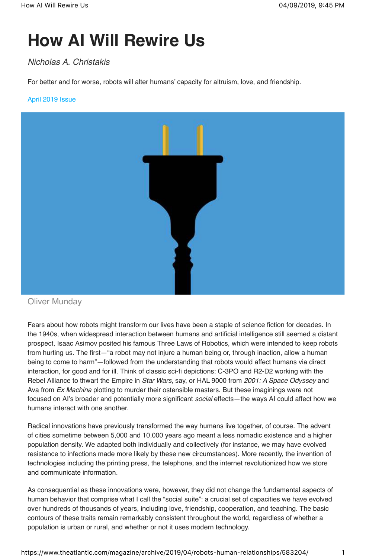# **How AI Will Rewire Us**

## *Nicholas A. Christakis*

For better and for worse, robots will alter humans' capacity for altruism, love, and friendship.

## April 2019 Issue



Oliver Munday

Fears about how robots might transform our lives have been a staple of science fiction for decades. In the 1940s, when widespread interaction between humans and artificial intelligence still seemed a distant prospect, Isaac Asimov posited his famous Three Laws of Robotics, which were intended to keep robots from hurting us. The first—"a robot may not injure a human being or, through inaction, allow a human being to come to harm"—followed from the understanding that robots would affect humans via direct interaction, for good and for ill. Think of classic sci-fi depictions: C-3PO and R2-D2 working with the Rebel Alliance to thwart the Empire in *Star Wars*, say, or HAL 9000 from *2001: A Space Odyssey* and Ava from *Ex Machina* plotting to murder their ostensible masters. But these imaginings were not focused on AI's broader and potentially more significant *social* effects—the ways AI could affect how we humans interact with one another.

Radical innovations have previously transformed the way humans live together, of course. The advent of cities sometime between 5,000 and 10,000 years ago meant a less nomadic existence and a higher population density. We adapted both individually and collectively (for instance, we may have evolved resistance to infections made more likely by these new circumstances). More recently, the invention of technologies including the printing press, the telephone, and the internet revolutionized how we store and communicate information.

As consequential as these innovations were, however, they did not change the fundamental aspects of human behavior that comprise what I call the "social suite": a crucial set of capacities we have evolved over hundreds of thousands of years, including love, friendship, cooperation, and teaching. The basic contours of these traits remain remarkably consistent throughout the world, regardless of whether a population is urban or rural, and whether or not it uses modern technology.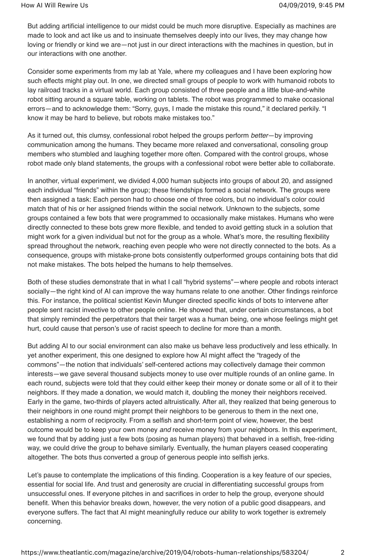But adding artificial intelligence to our midst could be much more disruptive. Especially as machines are made to look and act like us and to insinuate themselves deeply into our lives, they may change how loving or friendly or kind we are—not just in our direct interactions with the machines in question, but in our interactions with one another.

Consider some experiments from my lab at Yale, where my colleagues and I have been exploring how such effects might play out. In one, we directed small groups of people to work with humanoid robots to lay railroad tracks in a virtual world. Each group consisted of three people and a little blue-and-white robot sitting around a square table, working on tablets. The robot was programmed to make occasional errors—and to acknowledge them: "Sorry, guys, I made the mistake this round," it declared perkily. "I know it may be hard to believe, but robots make mistakes too."

As it turned out, this clumsy, confessional robot helped the groups perform *better*—by improving communication among the humans. They became more relaxed and conversational, consoling group members who stumbled and laughing together more often. Compared with the control groups, whose robot made only bland statements, the groups with a confessional robot were better able to collaborate.

In another, virtual experiment, we divided 4,000 human subjects into groups of about 20, and assigned each individual "friends" within the group; these friendships formed a social network. The groups were then assigned a task: Each person had to choose one of three colors, but no individual's color could match that of his or her assigned friends within the social network. Unknown to the subjects, some groups contained a few bots that were programmed to occasionally make mistakes. Humans who were directly connected to these bots grew more flexible, and tended to avoid getting stuck in a solution that might work for a given individual but not for the group as a whole. What's more, the resulting flexibility spread throughout the network, reaching even people who were not directly connected to the bots. As a consequence, groups with mistake-prone bots consistently outperformed groups containing bots that did not make mistakes. The bots helped the humans to help themselves.

Both of these studies demonstrate that in what I call "hybrid systems"—where people and robots interact socially—the right kind of AI can improve the way humans relate to one another. Other findings reinforce this. For instance, the political scientist Kevin Munger directed specific kinds of bots to intervene after people sent racist invective to other people online. He showed that, under certain circumstances, a bot that simply reminded the perpetrators that their target was a human being, one whose feelings might get hurt, could cause that person's use of racist speech to decline for more than a month.

But adding AI to our social environment can also make us behave less productively and less ethically. In yet another experiment, this one designed to explore how AI might affect the "tragedy of the commons"—the notion that individuals' self-centered actions may collectively damage their common interests—we gave several thousand subjects money to use over multiple rounds of an online game. In each round, subjects were told that they could either keep their money or donate some or all of it to their neighbors. If they made a donation, we would match it, doubling the money their neighbors received. Early in the game, two-thirds of players acted altruistically. After all, they realized that being generous to their neighbors in one round might prompt their neighbors to be generous to them in the next one, establishing a norm of reciprocity. From a selfish and short-term point of view, however, the best outcome would be to keep your own money *and* receive money from your neighbors. In this experiment, we found that by adding just a few bots (posing as human players) that behaved in a selfish, free-riding way, we could drive the group to behave similarly. Eventually, the human players ceased cooperating altogether. The bots thus converted a group of generous people into selfish jerks.

Let's pause to contemplate the implications of this finding. Cooperation is a key feature of our species, essential for social life. And trust and generosity are crucial in differentiating successful groups from unsuccessful ones. If everyone pitches in and sacrifices in order to help the group, everyone should benefit. When this behavior breaks down, however, the very notion of a public good disappears, and everyone suffers. The fact that AI might meaningfully reduce our ability to work together is extremely concerning.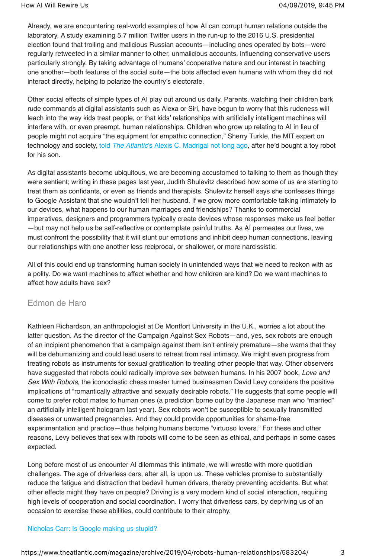Already, we are encountering real-world examples of how AI can corrupt human relations outside the laboratory. A study examining 5.7 million Twitter users in the run-up to the 2016 U.S. presidential election found that trolling and malicious Russian accounts—including ones operated by bots—were regularly retweeted in a similar manner to other, unmalicious accounts, influencing conservative users particularly strongly. By taking advantage of humans' cooperative nature and our interest in teaching one another—both features of the social suite—the bots affected even humans with whom they did not interact directly, helping to polarize the country's electorate.

Other social effects of simple types of AI play out around us daily. Parents, watching their children bark rude commands at digital assistants such as Alexa or Siri, have begun to worry that this rudeness will leach into the way kids treat people, or that kids' relationships with artificially intelligent machines will interfere with, or even preempt, human relationships. Children who grow up relating to AI in lieu of people might not acquire "the equipment for empathic connection," Sherry Turkle, the MIT expert on technology and society, told *The Atlantic*'s Alexis C. Madrigal not long ago, after he'd bought a toy robot for his son.

As digital assistants become ubiquitous, we are becoming accustomed to talking to them as though they were sentient; writing in these pages last year, Judith Shulevitz described how some of us are starting to treat them as confidants, or even as friends and therapists. Shulevitz herself says she confesses things to Google Assistant that she wouldn't tell her husband. If we grow more comfortable talking intimately to our devices, what happens to our human marriages and friendships? Thanks to commercial imperatives, designers and programmers typically create devices whose responses make us feel better —but may not help us be self-reflective or contemplate painful truths. As AI permeates our lives, we must confront the possibility that it will stunt our emotions and inhibit deep human connections, leaving our relationships with one another less reciprocal, or shallower, or more narcissistic.

All of this could end up transforming human society in unintended ways that we need to reckon with as a polity. Do we want machines to affect whether and how children are kind? Do we want machines to affect how adults have sex?

## Edmon de Haro

Kathleen Richardson, an anthropologist at De Montfort University in the U.K., worries a lot about the latter question. As the director of the Campaign Against Sex Robots—and, yes, sex robots are enough of an incipient phenomenon that a campaign against them isn't entirely premature—she warns that they will be dehumanizing and could lead users to retreat from real intimacy. We might even progress from treating robots as instruments for sexual gratification to treating other people that way. Other observers have suggested that robots could radically improve sex between humans. In his 2007 book, *Love and Sex With Robots*, the iconoclastic chess master turned businessman David Levy considers the positive implications of "romantically attractive and sexually desirable robots." He suggests that some people will come to prefer robot mates to human ones (a prediction borne out by the Japanese man who "married" an artificially intelligent hologram last year). Sex robots won't be susceptible to sexually transmitted diseases or unwanted pregnancies. And they could provide opportunities for shame-free experimentation and practice—thus helping humans become "virtuoso lovers." For these and other reasons, Levy believes that sex with robots will come to be seen as ethical, and perhaps in some cases expected.

Long before most of us encounter AI dilemmas this intimate, we will wrestle with more quotidian challenges. The age of driverless cars, after all, is upon us. These vehicles promise to substantially reduce the fatigue and distraction that bedevil human drivers, thereby preventing accidents. But what other effects might they have on people? Driving is a very modern kind of social interaction, requiring high levels of cooperation and social coordination. I worry that driverless cars, by depriving us of an occasion to exercise these abilities, could contribute to their atrophy.

## Nicholas Carr: Is Google making us stupid?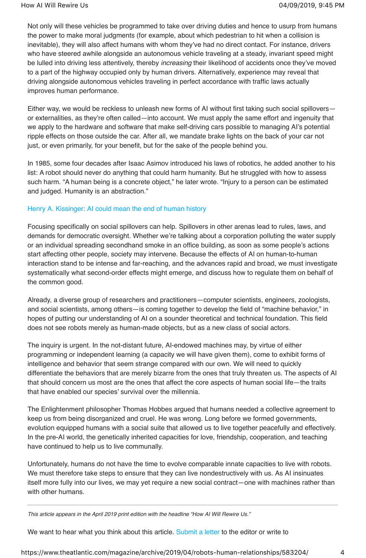Not only will these vehicles be programmed to take over driving duties and hence to usurp from humans the power to make moral judgments (for example, about which pedestrian to hit when a collision is inevitable), they will also affect humans with whom they've had no direct contact. For instance, drivers who have steered awhile alongside an autonomous vehicle traveling at a steady, invariant speed might be lulled into driving less attentively, thereby *increasing* their likelihood of accidents once they've moved to a part of the highway occupied only by human drivers. Alternatively, experience may reveal that driving alongside autonomous vehicles traveling in perfect accordance with traffic laws actually improves human performance.

Either way, we would be reckless to unleash new forms of AI without first taking such social spillovers or externalities, as they're often called—into account. We must apply the same effort and ingenuity that we apply to the hardware and software that make self-driving cars possible to managing AI's potential ripple effects on those outside the car. After all, we mandate brake lights on the back of your car not just, or even primarily, for your benefit, but for the sake of the people behind you.

In 1985, some four decades after Isaac Asimov introduced his laws of robotics, he added another to his list: A robot should never do anything that could harm humanity. But he struggled with how to assess such harm. "A human being is a concrete object," he later wrote. "Injury to a person can be estimated and judged. Humanity is an abstraction."

## Henry A. Kissinger: AI could mean the end of human history

Focusing specifically on social spillovers can help. Spillovers in other arenas lead to rules, laws, and demands for democratic oversight. Whether we're talking about a corporation polluting the water supply or an individual spreading secondhand smoke in an office building, as soon as some people's actions start affecting other people, society may intervene. Because the effects of AI on human-to-human interaction stand to be intense and far-reaching, and the advances rapid and broad, we must investigate systematically what second-order effects might emerge, and discuss how to regulate them on behalf of the common good.

Already, a diverse group of researchers and practitioners—computer scientists, engineers, zoologists, and social scientists, among others—is coming together to develop the field of "machine behavior," in hopes of putting our understanding of AI on a sounder theoretical and technical foundation. This field does not see robots merely as human-made objects, but as a new class of social actors.

The inquiry is urgent. In the not-distant future, AI-endowed machines may, by virtue of either programming or independent learning (a capacity we will have given them), come to exhibit forms of intelligence and behavior that seem strange compared with our own. We will need to quickly differentiate the behaviors that are merely bizarre from the ones that truly threaten us. The aspects of AI that should concern us most are the ones that affect the core aspects of human social life—the traits that have enabled our species' survival over the millennia.

The Enlightenment philosopher Thomas Hobbes argued that humans needed a collective agreement to keep us from being disorganized and cruel. He was wrong. Long before we formed governments, evolution equipped humans with a social suite that allowed us to live together peacefully and effectively. In the pre-AI world, the genetically inherited capacities for love, friendship, cooperation, and teaching have continued to help us to live communally.

Unfortunately, humans do not have the time to evolve comparable innate capacities to live with robots. We must therefore take steps to ensure that they can live nondestructively with us. As AI insinuates itself more fully into our lives, we may yet require a new social contract—one with machines rather than with other humans.

*This article appears in the April 2019 print edition with the headline "How AI Will Rewire Us."*

We want to hear what you think about this article. Submit a letter to the editor or write to